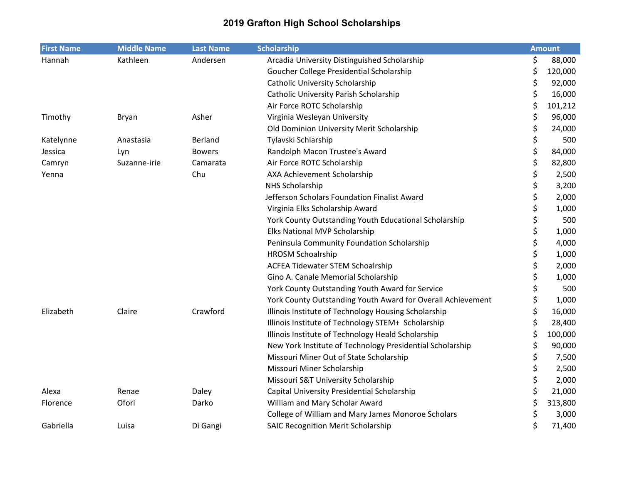| <b>First Name</b> | <b>Middle Name</b> | <b>Last Name</b> | <b>Scholarship</b>                                          | <b>Amount</b> |
|-------------------|--------------------|------------------|-------------------------------------------------------------|---------------|
| Hannah            | Kathleen           | Andersen         | Arcadia University Distinguished Scholarship                | \$<br>88,000  |
|                   |                    |                  | Goucher College Presidential Scholarship                    | \$<br>120,000 |
|                   |                    |                  | <b>Catholic University Scholarship</b>                      | \$<br>92,000  |
|                   |                    |                  | <b>Catholic University Parish Scholarship</b>               | \$<br>16,000  |
|                   |                    |                  | Air Force ROTC Scholarship                                  | \$<br>101,212 |
| Timothy           | Bryan              | Asher            | Virginia Wesleyan University                                | \$<br>96,000  |
|                   |                    |                  | Old Dominion University Merit Scholarship                   | \$<br>24,000  |
| Katelynne         | Anastasia          | Berland          | Tylavski Schlarship                                         | \$<br>500     |
| Jessica           | Lyn                | <b>Bowers</b>    | Randolph Macon Trustee's Award                              | \$<br>84,000  |
| Camryn            | Suzanne-irie       | Camarata         | Air Force ROTC Scholarship                                  | \$<br>82,800  |
| Yenna             |                    | Chu              | AXA Achievement Scholarship                                 | \$<br>2,500   |
|                   |                    |                  | <b>NHS Scholarship</b>                                      | \$<br>3,200   |
|                   |                    |                  | Jefferson Scholars Foundation Finalist Award                | \$<br>2,000   |
|                   |                    |                  | Virginia Elks Scholarship Award                             | \$<br>1,000   |
|                   |                    |                  | York County Outstanding Youth Educational Scholarship       | \$<br>500     |
|                   |                    |                  | Elks National MVP Scholarship                               | \$<br>1,000   |
|                   |                    |                  | Peninsula Community Foundation Scholarship                  | \$<br>4,000   |
|                   |                    |                  | <b>HROSM Schoalrship</b>                                    | \$<br>1,000   |
|                   |                    |                  | <b>ACFEA Tidewater STEM Schoalrship</b>                     | \$<br>2,000   |
|                   |                    |                  | Gino A. Canale Memorial Scholarship                         | \$<br>1,000   |
|                   |                    |                  | York County Outstanding Youth Award for Service             | \$<br>500     |
|                   |                    |                  | York County Outstanding Youth Award for Overall Achievement | \$<br>1,000   |
| Elizabeth         | Claire             | Crawford         | Illinois Institute of Technology Housing Scholarship        | \$<br>16,000  |
|                   |                    |                  | Illinois Institute of Technology STEM+ Scholarship          | \$<br>28,400  |
|                   |                    |                  | Illinois Institute of Technology Heald Scholarship          | \$<br>100,000 |
|                   |                    |                  | New York Institute of Technology Presidential Scholarship   | \$<br>90,000  |
|                   |                    |                  | Missouri Miner Out of State Scholarship                     | \$<br>7,500   |
|                   |                    |                  | Missouri Miner Scholarship                                  | \$<br>2,500   |
|                   |                    |                  | Missouri S&T University Scholarship                         | \$<br>2,000   |
| Alexa             | Renae              | Daley            | Capital University Presidential Scholarship                 | \$<br>21,000  |
| Florence          | Ofori              | Darko            | William and Mary Scholar Award                              | \$<br>313,800 |
|                   |                    |                  | College of William and Mary James Monoroe Scholars          | \$<br>3,000   |
| Gabriella         | Luisa              | Di Gangi         | <b>SAIC Recognition Merit Scholarship</b>                   | \$<br>71,400  |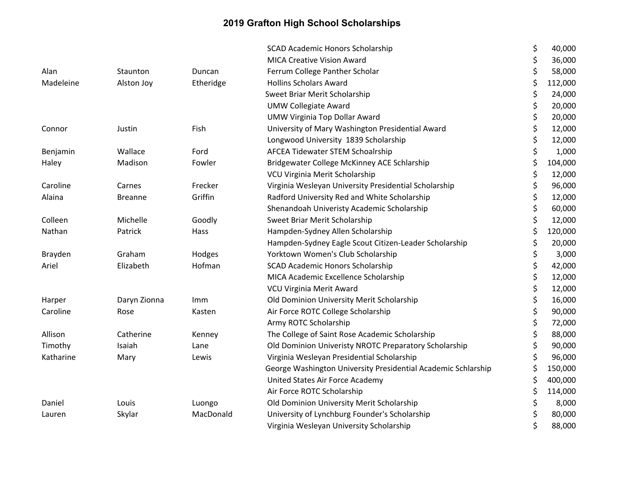|           |                |           | <b>SCAD Academic Honors Scholarship</b>                       | \$<br>40,000  |
|-----------|----------------|-----------|---------------------------------------------------------------|---------------|
|           |                |           | <b>MICA Creative Vision Award</b>                             | \$<br>36,000  |
| Alan      | Staunton       | Duncan    | Ferrum College Panther Scholar                                | \$<br>58,000  |
| Madeleine | Alston Joy     | Etheridge | <b>Hollins Scholars Award</b>                                 | \$<br>112,000 |
|           |                |           | Sweet Briar Merit Scholarship                                 | \$<br>24,000  |
|           |                |           | <b>UMW Collegiate Award</b>                                   | \$<br>20,000  |
|           |                |           | <b>UMW Virginia Top Dollar Award</b>                          | \$<br>20,000  |
| Connor    | Justin         | Fish      | University of Mary Washington Presidential Award              | \$<br>12,000  |
|           |                |           | Longwood University 1839 Scholarship                          | \$<br>12,000  |
| Benjamin  | Wallace        | Ford      | AFCEA Tidewater STEM Schoalrship                              | \$<br>1,000   |
| Haley     | Madison        | Fowler    | Bridgewater College McKinney ACE Schlarship                   | \$<br>104,000 |
|           |                |           | VCU Virginia Merit Scholarship                                | \$<br>12,000  |
| Caroline  | Carnes         | Frecker   | Virginia Wesleyan University Presidential Scholarship         | \$<br>96,000  |
| Alaina    | <b>Breanne</b> | Griffin   | Radford University Red and White Scholarship                  | \$<br>12,000  |
|           |                |           | Shenandoah Univeristy Academic Scholarship                    | \$<br>60,000  |
| Colleen   | Michelle       | Goodly    | Sweet Briar Merit Scholarship                                 | \$<br>12,000  |
| Nathan    | Patrick        | Hass      | Hampden-Sydney Allen Scholarship                              | \$<br>120,000 |
|           |                |           | Hampden-Sydney Eagle Scout Citizen-Leader Scholarship         | \$<br>20,000  |
| Brayden   | Graham         | Hodges    | Yorktown Women's Club Scholarship                             | \$<br>3,000   |
| Ariel     | Elizabeth      | Hofman    | <b>SCAD Academic Honors Scholarship</b>                       | \$<br>42,000  |
|           |                |           | MICA Academic Excellence Scholarship                          | \$<br>12,000  |
|           |                |           | VCU Virginia Merit Award                                      | \$<br>12,000  |
| Harper    | Daryn Zionna   | Imm       | Old Dominion University Merit Scholarship                     | \$<br>16,000  |
| Caroline  | Rose           | Kasten    | Air Force ROTC College Scholarship                            | \$<br>90,000  |
|           |                |           | Army ROTC Scholarship                                         | \$<br>72,000  |
| Allison   | Catherine      | Kenney    | The College of Saint Rose Academic Scholarship                | \$<br>88,000  |
| Timothy   | Isaiah         | Lane      | Old Dominion Univeristy NROTC Preparatory Scholarship         | 90,000        |
| Katharine | Mary           | Lewis     | Virginia Wesleyan Presidential Scholarship                    | \$<br>96,000  |
|           |                |           | George Washington University Presidential Academic Schlarship | \$<br>150,000 |
|           |                |           | United States Air Force Academy                               | \$<br>400,000 |
|           |                |           | Air Force ROTC Scholarship                                    | \$<br>114,000 |
| Daniel    | Louis          | Luongo    | Old Dominion University Merit Scholarship                     | \$<br>8,000   |
| Lauren    | Skylar         | MacDonald | University of Lynchburg Founder's Scholarship                 | \$<br>80,000  |
|           |                |           | Virginia Wesleyan University Scholarship                      | \$<br>88,000  |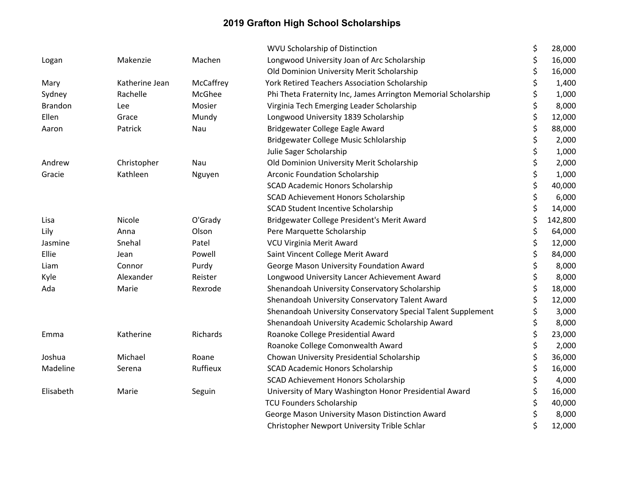|                |                |           | <b>WVU Scholarship of Distinction</b>                          | \$<br>28,000  |
|----------------|----------------|-----------|----------------------------------------------------------------|---------------|
| Logan          | Makenzie       | Machen    | Longwood University Joan of Arc Scholarship                    | \$<br>16,000  |
|                |                |           | Old Dominion University Merit Scholarship                      | \$<br>16,000  |
| Mary           | Katherine Jean | McCaffrey | <b>York Retired Teachers Association Scholarship</b>           | \$<br>1,400   |
| Sydney         | Rachelle       | McGhee    | Phi Theta Fraternity Inc, James Arrington Memorial Scholarship | \$<br>1,000   |
| <b>Brandon</b> | Lee            | Mosier    | Virginia Tech Emerging Leader Scholarship                      | \$<br>8,000   |
| Ellen          | Grace          | Mundy     | Longwood University 1839 Scholarship                           | \$<br>12,000  |
| Aaron          | Patrick        | Nau       | Bridgewater College Eagle Award                                | \$<br>88,000  |
|                |                |           | Bridgewater College Music Schlolarship                         | \$<br>2,000   |
|                |                |           | Julie Sager Scholarship                                        | \$<br>1,000   |
| Andrew         | Christopher    | Nau       | Old Dominion University Merit Scholarship                      | \$<br>2,000   |
| Gracie         | Kathleen       | Nguyen    | <b>Arconic Foundation Scholarship</b>                          | \$<br>1,000   |
|                |                |           | <b>SCAD Academic Honors Scholarship</b>                        | \$<br>40,000  |
|                |                |           | SCAD Achievement Honors Scholarship                            | \$<br>6,000   |
|                |                |           | <b>SCAD Student Incentive Scholarship</b>                      | \$<br>14,000  |
| Lisa           | Nicole         | O'Grady   | Bridgewater College President's Merit Award                    | \$<br>142,800 |
| Lily           | Anna           | Olson     | Pere Marquette Scholarship                                     | \$<br>64,000  |
| Jasmine        | Snehal         | Patel     | <b>VCU Virginia Merit Award</b>                                | \$<br>12,000  |
| Ellie          | Jean           | Powell    | Saint Vincent College Merit Award                              | \$<br>84,000  |
| Liam           | Connor         | Purdy     | George Mason University Foundation Award                       | \$<br>8,000   |
| Kyle           | Alexander      | Reister   | Longwood University Lancer Achievement Award                   | \$<br>8,000   |
| Ada            | Marie          | Rexrode   | Shenandoah University Conservatory Scholarship                 | \$<br>18,000  |
|                |                |           | Shenandoah University Conservatory Talent Award                | \$<br>12,000  |
|                |                |           | Shenandoah University Conservatory Special Talent Supplement   | \$<br>3,000   |
|                |                |           | Shenandoah University Academic Scholarship Award               | \$<br>8,000   |
| Emma           | Katherine      | Richards  | Roanoke College Presidential Award                             | \$<br>23,000  |
|                |                |           | Roanoke College Comonwealth Award                              | \$<br>2,000   |
| Joshua         | Michael        | Roane     | Chowan University Presidential Scholarship                     | \$<br>36,000  |
| Madeline       | Serena         | Ruffieux  | <b>SCAD Academic Honors Scholarship</b>                        | \$<br>16,000  |
|                |                |           | SCAD Achievement Honors Scholarship                            | \$<br>4,000   |
| Elisabeth      | Marie          | Seguin    | University of Mary Washington Honor Presidential Award         | \$<br>16,000  |
|                |                |           | <b>TCU Founders Scholarship</b>                                | \$<br>40,000  |
|                |                |           | George Mason University Mason Distinction Award                | \$<br>8,000   |
|                |                |           | Christopher Newport University Trible Schlar                   | \$<br>12,000  |